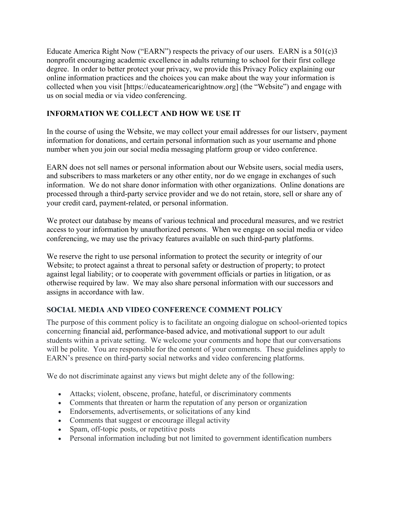Educate America Right Now ("EARN") respects the privacy of our users. EARN is a 501(c)3 nonprofit encouraging academic excellence in adults returning to school for their first college degree. In order to better protect your privacy, we provide this Privacy Policy explaining our online information practices and the choices you can make about the way your information is collected when you visit [https://educateamericarightnow.org] (the "Website") and engage with us on social media or via video conferencing.

# **INFORMATION WE COLLECT AND HOW WE USE IT**

In the course of using the Website, we may collect your email addresses for our listserv, payment information for donations, and certain personal information such as your username and phone number when you join our social media messaging platform group or video conference.

EARN does not sell names or personal information about our Website users, social media users, and subscribers to mass marketers or any other entity, nor do we engage in exchanges of such information. We do not share donor information with other organizations. Online donations are processed through a third-party service provider and we do not retain, store, sell or share any of your credit card, payment-related, or personal information.

We protect our database by means of various technical and procedural measures, and we restrict access to your information by unauthorized persons. When we engage on social media or video conferencing, we may use the privacy features available on such third-party platforms.

We reserve the right to use personal information to protect the security or integrity of our Website; to protect against a threat to personal safety or destruction of property; to protect against legal liability; or to cooperate with government officials or parties in litigation, or as otherwise required by law. We may also share personal information with our successors and assigns in accordance with law.

# **SOCIAL MEDIA AND VIDEO CONFERENCE COMMENT POLICY**

The purpose of this comment policy is to facilitate an ongoing dialogue on school-oriented topics concerning financial aid, performance-based advice, and motivational support to our adult students within a private setting. We welcome your comments and hope that our conversations will be polite. You are responsible for the content of your comments. These guidelines apply to EARN's presence on third-party social networks and video conferencing platforms.

We do not discriminate against any views but might delete any of the following:

- Attacks; violent, obscene, profane, hateful, or discriminatory comments
- Comments that threaten or harm the reputation of any person or organization
- Endorsements, advertisements, or solicitations of any kind
- Comments that suggest or encourage illegal activity
- Spam, off-topic posts, or repetitive posts
- Personal information including but not limited to government identification numbers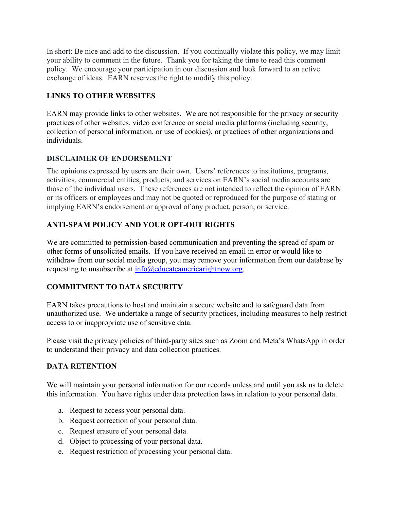In short: Be nice and add to the discussion. If you continually violate this policy, we may limit your ability to comment in the future. Thank you for taking the time to read this comment policy. We encourage your participation in our discussion and look forward to an active exchange of ideas. EARN reserves the right to modify this policy.

#### **LINKS TO OTHER WEBSITES**

EARN may provide links to other websites. We are not responsible for the privacy or security practices of other websites, video conference or social media platforms (including security, collection of personal information, or use of cookies), or practices of other organizations and individuals.

#### **DISCLAIMER OF ENDORSEMENT**

The opinions expressed by users are their own. Users' references to institutions, programs, activities, commercial entities, products, and services on EARN's social media accounts are those of the individual users. These references are not intended to reflect the opinion of EARN or its officers or employees and may not be quoted or reproduced for the purpose of stating or implying EARN's endorsement or approval of any product, person, or service.

# **ANTI-SPAM POLICY AND YOUR OPT-OUT RIGHTS**

We are committed to permission-based communication and preventing the spread of spam or other forms of unsolicited emails. If you have received an email in error or would like to withdraw from our social media group, you may remove your information from our database by requesting to unsubscribe at  $\frac{info}{Q}$ educateamericarightnow.org.

# **COMMITMENT TO DATA SECURITY**

EARN takes precautions to host and maintain a secure website and to safeguard data from unauthorized use. We undertake a range of security practices, including measures to help restrict access to or inappropriate use of sensitive data.

Please visit the privacy policies of third-party sites such as Zoom and Meta's WhatsApp in order to understand their privacy and data collection practices.

# **DATA RETENTION**

We will maintain your personal information for our records unless and until you ask us to delete this information. You have rights under data protection laws in relation to your personal data.

- a. Request to access your personal data.
- b. Request correction of your personal data.
- c. Request erasure of your personal data.
- d. Object to processing of your personal data.
- e. Request restriction of processing your personal data.